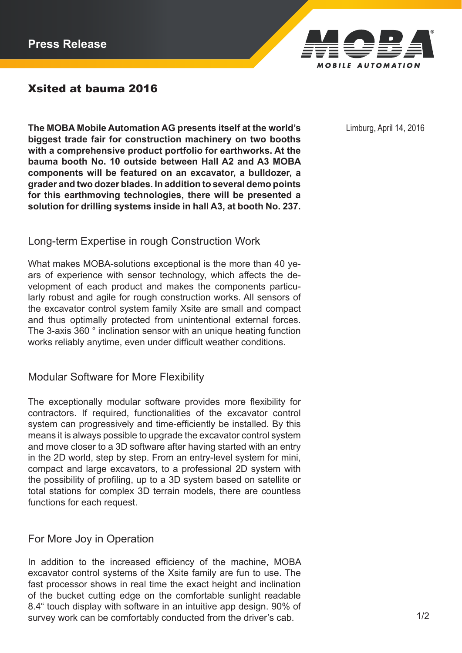

# Xsited at bauma 2016

**The MOBA Mobile Automation AG presents itself at the world's** Limburg, April 14, 2016 **biggest trade fair for construction machinery on two booths with a comprehensive product portfolio for earthworks. At the bauma booth No. 10 outside between Hall A2 and A3 MOBA components will be featured on an excavator, a bulldozer, a grader and two dozer blades. In addition to several demo points for this earthmoving technologies, there will be presented a solution for drilling systems inside in hall A3, at booth No. 237.**

### Long-term Expertise in rough Construction Work

What makes MOBA-solutions exceptional is the more than 40 years of experience with sensor technology, which affects the development of each product and makes the components particularly robust and agile for rough construction works. All sensors of the excavator control system family Xsite are small and compact and thus optimally protected from unintentional external forces. The 3-axis 360 ° inclination sensor with an unique heating function works reliably anytime, even under difficult weather conditions.

#### Modular Software for More Flexibility

The exceptionally modular software provides more flexibility for contractors. If required, functionalities of the excavator control system can progressively and time-efficiently be installed. By this means it is always possible to upgrade the excavator control system and move closer to a 3D software after having started with an entry in the 2D world, step by step. From an entry-level system for mini, compact and large excavators, to a professional 2D system with the possibility of profiling, up to a 3D system based on satellite or total stations for complex 3D terrain models, there are countless functions for each request.

#### For More Joy in Operation

In addition to the increased efficiency of the machine, MOBA excavator control systems of the Xsite family are fun to use. The fast processor shows in real time the exact height and inclination of the bucket cutting edge on the comfortable sunlight readable 8.4" touch display with software in an intuitive app design. 90% of survey work can be comfortably conducted from the driver's cab. 1/2